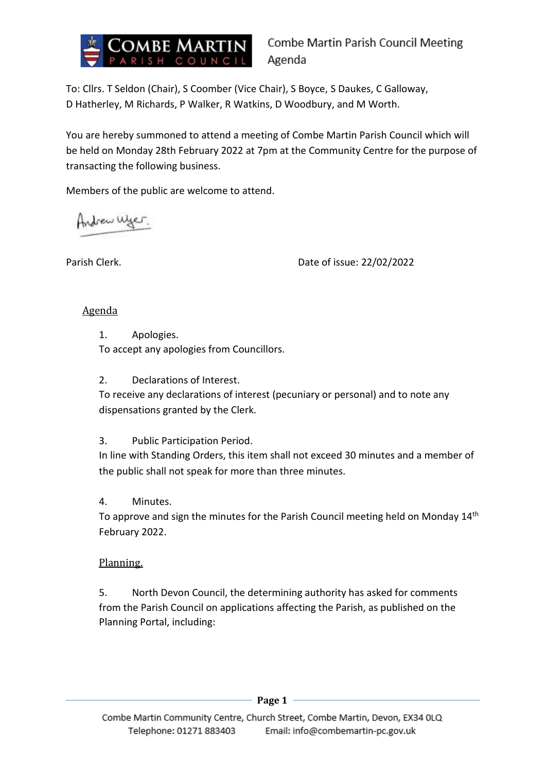

To: Cllrs. T Seldon (Chair), S Coomber (Vice Chair), S Boyce, S Daukes, C Galloway, D Hatherley, M Richards, P Walker, R Watkins, D Woodbury, and M Worth.

You are hereby summoned to attend a meeting of Combe Martin Parish Council which will be held on Monday 28th February 2022 at 7pm at the Community Centre for the purpose of transacting the following business.

Members of the public are welcome to attend.

Andrew Wyer.

Parish Clerk. Date of issue: 22/02/2022

## Agenda

1. Apologies.

To accept any apologies from Councillors.

2. Declarations of Interest.

To receive any declarations of interest (pecuniary or personal) and to note any dispensations granted by the Clerk.

### 3. Public Participation Period.

In line with Standing Orders, this item shall not exceed 30 minutes and a member of the public shall not speak for more than three minutes.

# 4. Minutes.

To approve and sign the minutes for the Parish Council meeting held on Monday 14<sup>th</sup> February 2022.

# Planning.

5. North Devon Council, the determining authority has asked for comments from the Parish Council on applications affecting the Parish, as published on the Planning Portal, including: